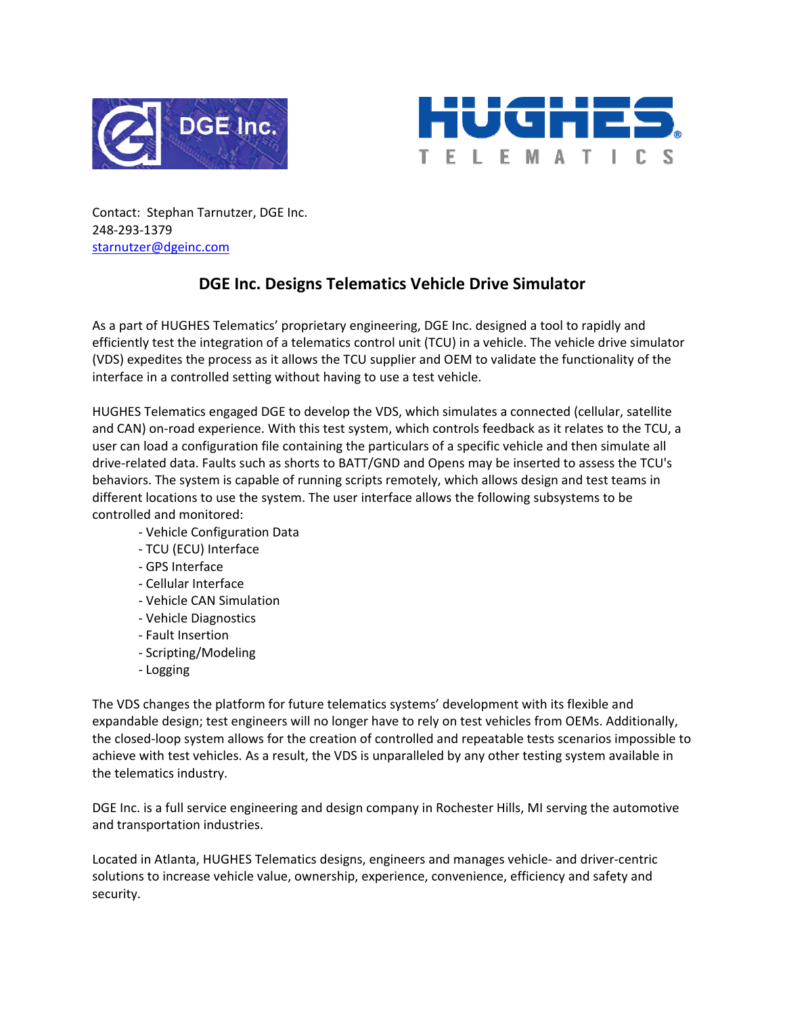



Contact: Stephan Tarnutzer, DGE Inc. 248‐293‐1379 starnutzer@dgeinc.com

## **DGE Inc. Designs Telematics Vehicle Drive Simulator**

As a part of HUGHES Telematics' proprietary engineering, DGE Inc. designed a tool to rapidly and efficiently test the integration of a telematics control unit (TCU) in a vehicle. The vehicle drive simulator (VDS) expedites the process as it allows the TCU supplier and OEM to validate the functionality of the interface in a controlled setting without having to use a test vehicle.

HUGHES Telematics engaged DGE to develop the VDS, which simulates a connected (cellular, satellite and CAN) on-road experience. With this test system, which controls feedback as it relates to the TCU, a user can load a configuration file containing the particulars of a specific vehicle and then simulate all drive‐related data. Faults such as shorts to BATT/GND and Opens may be inserted to assess the TCU's behaviors. The system is capable of running scripts remotely, which allows design and test teams in different locations to use the system. The user interface allows the following subsystems to be controlled and monitored:

- ‐ Vehicle Configuration Data
- ‐ TCU (ECU) Interface
- ‐ GPS Interface
- ‐ Cellular Interface
- ‐ Vehicle CAN Simulation
- ‐ Vehicle Diagnostics
- ‐ Fault Insertion
- ‐ Scripting/Modeling
- ‐ Logging

The VDS changes the platform for future telematics systems' development with its flexible and expandable design; test engineers will no longer have to rely on test vehicles from OEMs. Additionally, the closed‐loop system allows for the creation of controlled and repeatable tests scenarios impossible to achieve with test vehicles. As a result, the VDS is unparalleled by any other testing system available in the telematics industry.

DGE Inc. is a full service engineering and design company in Rochester Hills, MI serving the automotive and transportation industries.

Located in Atlanta, HUGHES Telematics designs, engineers and manages vehicle‐ and driver‐centric solutions to increase vehicle value, ownership, experience, convenience, efficiency and safety and security.